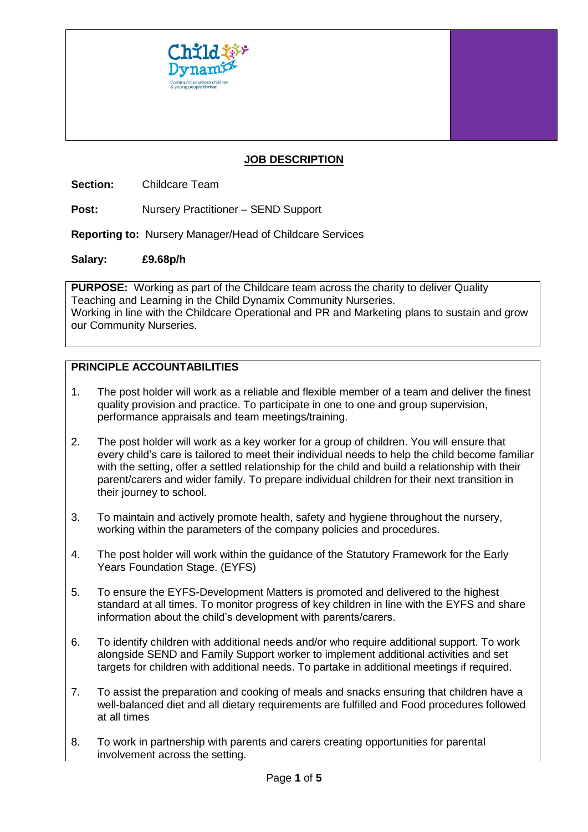

## **JOB DESCRIPTION**

**Section:** Childcare Team

**Post:** Nursery Practitioner – SEND Support

**Reporting to:** Nursery Manager/Head of Childcare Services

#### **Salary: £9.68p/h**

**PURPOSE:** Working as part of the Childcare team across the charity to deliver Quality Teaching and Learning in the Child Dynamix Community Nurseries. Working in line with the Childcare Operational and PR and Marketing plans to sustain and grow our Community Nurseries.

# **PRINCIPLE ACCOUNTABILITIES**

- 1. The post holder will work as a reliable and flexible member of a team and deliver the finest quality provision and practice. To participate in one to one and group supervision, performance appraisals and team meetings/training.
- 2. The post holder will work as a key worker for a group of children. You will ensure that every child's care is tailored to meet their individual needs to help the child become familiar with the setting, offer a settled relationship for the child and build a relationship with their parent/carers and wider family. To prepare individual children for their next transition in their journey to school.
- 3. To maintain and actively promote health, safety and hygiene throughout the nursery, working within the parameters of the company policies and procedures.
- 4. The post holder will work within the guidance of the Statutory Framework for the Early Years Foundation Stage. (EYFS)
- 5. To ensure the EYFS-Development Matters is promoted and delivered to the highest standard at all times. To monitor progress of key children in line with the EYFS and share information about the child's development with parents/carers.
- 6. To identify children with additional needs and/or who require additional support. To work alongside SEND and Family Support worker to implement additional activities and set targets for children with additional needs. To partake in additional meetings if required.
- 7. To assist the preparation and cooking of meals and snacks ensuring that children have a well-balanced diet and all dietary requirements are fulfilled and Food procedures followed at all times
- 8. To work in partnership with parents and carers creating opportunities for parental involvement across the setting.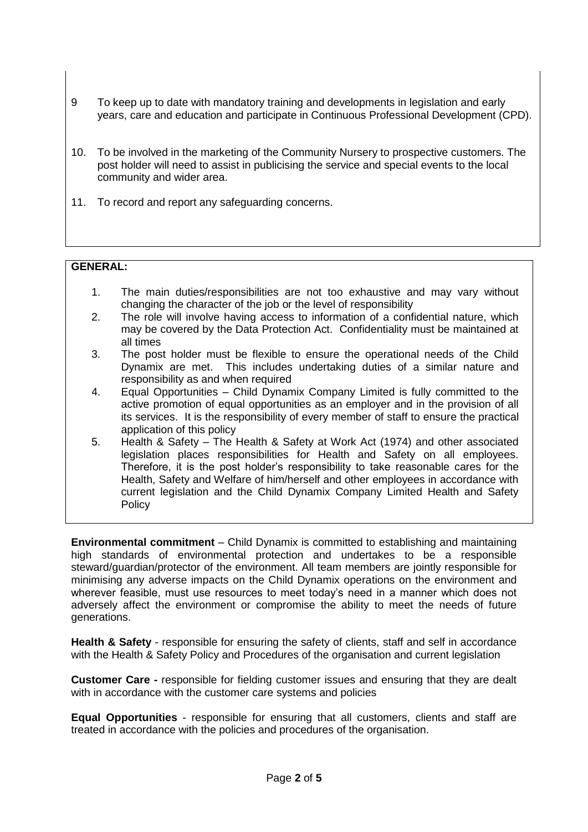- 9 To keep up to date with mandatory training and developments in legislation and early years, care and education and participate in Continuous Professional Development (CPD).
- 10. To be involved in the marketing of the Community Nursery to prospective customers. The post holder will need to assist in publicising the service and special events to the local community and wider area.
- 11. To record and report any safeguarding concerns.

## **GENERAL:**

- 1. The main duties/responsibilities are not too exhaustive and may vary without changing the character of the job or the level of responsibility
- 2. The role will involve having access to information of a confidential nature, which may be covered by the Data Protection Act. Confidentiality must be maintained at all times
- 3. The post holder must be flexible to ensure the operational needs of the Child Dynamix are met. This includes undertaking duties of a similar nature and responsibility as and when required
- 4. Equal Opportunities Child Dynamix Company Limited is fully committed to the active promotion of equal opportunities as an employer and in the provision of all its services. It is the responsibility of every member of staff to ensure the practical application of this policy
- 5. Health & Safety The Health & Safety at Work Act (1974) and other associated legislation places responsibilities for Health and Safety on all employees. Therefore, it is the post holder's responsibility to take reasonable cares for the Health, Safety and Welfare of him/herself and other employees in accordance with current legislation and the Child Dynamix Company Limited Health and Safety **Policy**

**Environmental commitment** – Child Dynamix is committed to establishing and maintaining high standards of environmental protection and undertakes to be a responsible steward/guardian/protector of the environment. All team members are jointly responsible for minimising any adverse impacts on the Child Dynamix operations on the environment and wherever feasible, must use resources to meet today's need in a manner which does not adversely affect the environment or compromise the ability to meet the needs of future generations.

Health & Safety - responsible for ensuring the safety of clients, staff and self in accordance with the Health & Safety Policy and Procedures of the organisation and current legislation

**Customer Care -** responsible for fielding customer issues and ensuring that they are dealt with in accordance with the customer care systems and policies

**Equal Opportunities** - responsible for ensuring that all customers, clients and staff are treated in accordance with the policies and procedures of the organisation.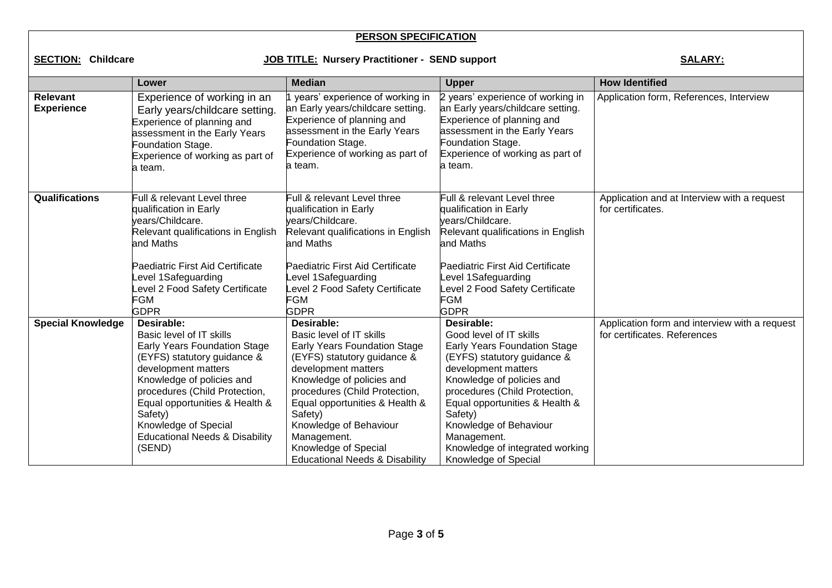## **PERSON SPECIFICATION**

**SECTION: Childcare SALARY: JOB TITLE: Nursery Practitioner - SEND support** SALARY:

|                                      | Lower                                                                                                                                                                                                                                                                                                                  | <b>Median</b>                                                                                                                                                                                                                                                                                                                                         | <b>Upper</b>                                                                                                                                                                                                                                                                                                                               | <b>How Identified</b>                                                         |
|--------------------------------------|------------------------------------------------------------------------------------------------------------------------------------------------------------------------------------------------------------------------------------------------------------------------------------------------------------------------|-------------------------------------------------------------------------------------------------------------------------------------------------------------------------------------------------------------------------------------------------------------------------------------------------------------------------------------------------------|--------------------------------------------------------------------------------------------------------------------------------------------------------------------------------------------------------------------------------------------------------------------------------------------------------------------------------------------|-------------------------------------------------------------------------------|
| <b>Relevant</b><br><b>Experience</b> | Experience of working in an<br>Early years/childcare setting.<br>Experience of planning and<br>assessment in the Early Years<br>Foundation Stage.<br>Experience of working as part of<br>a team.                                                                                                                       | years' experience of working in<br>an Early years/childcare setting.<br>Experience of planning and<br>assessment in the Early Years<br>Foundation Stage.<br>Experience of working as part of<br>la team.                                                                                                                                              | 2 years' experience of working in<br>an Early years/childcare setting.<br>Experience of planning and<br>assessment in the Early Years<br>Foundation Stage.<br>Experience of working as part of<br>a team.                                                                                                                                  | Application form, References, Interview                                       |
| Qualifications                       | Full & relevant Level three<br>qualification in Early<br>vears/Childcare.<br>Relevant qualifications in English<br>and Maths<br><b>Paediatric First Aid Certificate</b><br>evel 1Safeguarding<br>evel 2 Food Safety Certificate<br>FGM<br><b>GDPR</b>                                                                  | Full & relevant Level three<br>qualification in Early<br>vears/Childcare.<br>Relevant qualifications in English<br>and Maths<br>Paediatric First Aid Certificate<br>evel 1Safeguarding<br>evel 2 Food Safety Certificate<br>FGM<br><b>GDPR</b>                                                                                                        | Full & relevant Level three<br>qualification in Early<br>vears/Childcare.<br>Relevant qualifications in English<br>and Maths<br>Paediatric First Aid Certificate<br>evel 1Safeguarding<br>Level 2 Food Safety Certificate<br><b>FGM</b><br><b>GDPR</b>                                                                                     | Application and at Interview with a request<br>for certificates.              |
| <b>Special Knowledge</b>             | Desirable:<br>Basic level of IT skills<br>Early Years Foundation Stage<br>(EYFS) statutory guidance &<br>development matters<br>Knowledge of policies and<br>procedures (Child Protection,<br>Equal opportunities & Health &<br>Safety)<br>Knowledge of Special<br><b>Educational Needs &amp; Disability</b><br>(SEND) | Desirable:<br>Basic level of IT skills<br>Early Years Foundation Stage<br>(EYFS) statutory guidance &<br>development matters<br>Knowledge of policies and<br>procedures (Child Protection,<br>Equal opportunities & Health &<br>Safety)<br>Knowledge of Behaviour<br>Management.<br>Knowledge of Special<br><b>Educational Needs &amp; Disability</b> | Desirable:<br>Good level of IT skills<br>Early Years Foundation Stage<br>(EYFS) statutory guidance &<br>development matters<br>Knowledge of policies and<br>procedures (Child Protection,<br>Equal opportunities & Health &<br>Safety)<br>Knowledge of Behaviour<br>Management.<br>Knowledge of integrated working<br>Knowledge of Special | Application form and interview with a request<br>for certificates. References |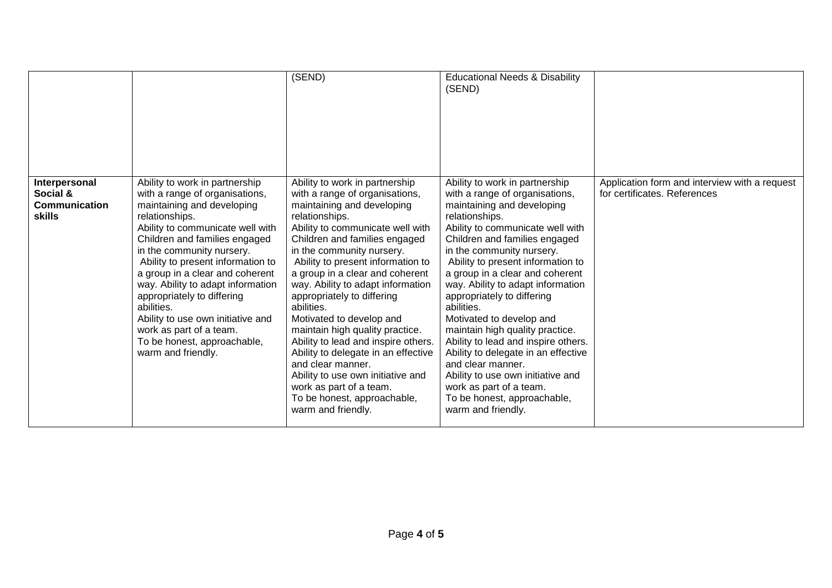|                                                             |                                                                                                                                                                                                                                                                                                                                                                                                                                                                                                  | (SEND)                                                                                                                                                                                                                                                                                                                                                                                                                                                                                                                                                                                                                                                             | <b>Educational Needs &amp; Disability</b><br>(SEND)                                                                                                                                                                                                                                                                                                                                                                                                                                                                                                                                                                                                                |                                                                               |
|-------------------------------------------------------------|--------------------------------------------------------------------------------------------------------------------------------------------------------------------------------------------------------------------------------------------------------------------------------------------------------------------------------------------------------------------------------------------------------------------------------------------------------------------------------------------------|--------------------------------------------------------------------------------------------------------------------------------------------------------------------------------------------------------------------------------------------------------------------------------------------------------------------------------------------------------------------------------------------------------------------------------------------------------------------------------------------------------------------------------------------------------------------------------------------------------------------------------------------------------------------|--------------------------------------------------------------------------------------------------------------------------------------------------------------------------------------------------------------------------------------------------------------------------------------------------------------------------------------------------------------------------------------------------------------------------------------------------------------------------------------------------------------------------------------------------------------------------------------------------------------------------------------------------------------------|-------------------------------------------------------------------------------|
| Interpersonal<br>Social &<br>Communication<br><b>skills</b> | Ability to work in partnership<br>with a range of organisations,<br>maintaining and developing<br>relationships.<br>Ability to communicate well with<br>Children and families engaged<br>in the community nursery.<br>Ability to present information to<br>a group in a clear and coherent<br>way. Ability to adapt information<br>appropriately to differing<br>abilities.<br>Ability to use own initiative and<br>work as part of a team.<br>To be honest, approachable,<br>warm and friendly. | Ability to work in partnership<br>with a range of organisations,<br>maintaining and developing<br>relationships.<br>Ability to communicate well with<br>Children and families engaged<br>in the community nursery.<br>Ability to present information to<br>a group in a clear and coherent<br>way. Ability to adapt information<br>appropriately to differing<br>abilities.<br>Motivated to develop and<br>maintain high quality practice.<br>Ability to lead and inspire others.<br>Ability to delegate in an effective<br>and clear manner.<br>Ability to use own initiative and<br>work as part of a team.<br>To be honest, approachable,<br>warm and friendly. | Ability to work in partnership<br>with a range of organisations,<br>maintaining and developing<br>relationships.<br>Ability to communicate well with<br>Children and families engaged<br>in the community nursery.<br>Ability to present information to<br>a group in a clear and coherent<br>way. Ability to adapt information<br>appropriately to differing<br>abilities.<br>Motivated to develop and<br>maintain high quality practice.<br>Ability to lead and inspire others.<br>Ability to delegate in an effective<br>and clear manner.<br>Ability to use own initiative and<br>work as part of a team.<br>To be honest, approachable,<br>warm and friendly. | Application form and interview with a request<br>for certificates. References |